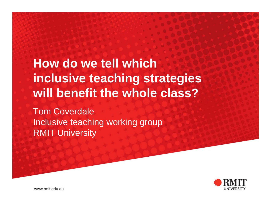# **How do we tell which inclusive teaching strategies will benefit the whole class?**

Tom Coverdale Inclusive teaching working group RMIT University

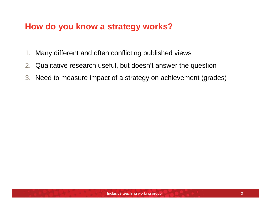### **How do you know a strategy works?**

- 1. Many different and often conflicting published views
- 2. Qualitative research useful, but doesn't answer the question
- 3. Need to measure impact of a strategy on achievement (grades)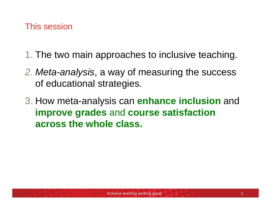#### This session

- 1. The two main approaches to inclusive teaching.
- *2. Meta-analysis*, a way of measuring the success of educational strategies.
- 3. How meta-analysis can **enhance inclusion** and **improve grades** and **course satisfaction across the whole class.**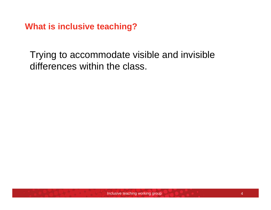**What is inclusive teaching?**

Trying to accommodate visible and invisible differences within the class.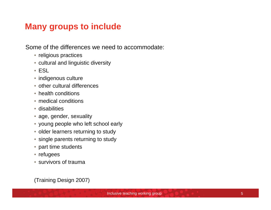### **Many groups to include**

Some of the differences we need to accommodate:

- religious practices
- cultural and linguistic diversity
- ESL
- indigenous culture
- other cultural differences
- health conditions
- medical conditions
- disabilities
- age, gender, sexuality
- young people who left school early
- older learners returning to study
- single parents returning to study
- part time students
- refugees
- survivors of trauma

(Training Design 2007)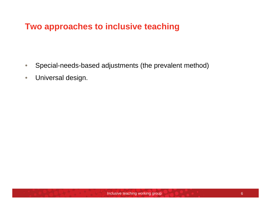### **Two approaches to inclusive teaching**

- Special-needs-based adjustments (the prevalent method)
- Universal design.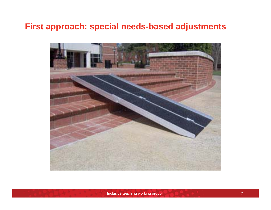#### **First approach: special needs-based adjustments**

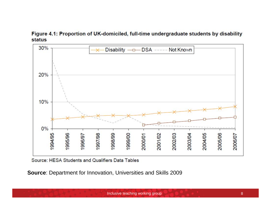Figure 4.1: Proportion of UK-domiciled, full-time undergraduate students by disability **status** 



Source: HESA Students and Qualifiers Data Tables

**Source**: Department for Innovation, Universities and Skills 2009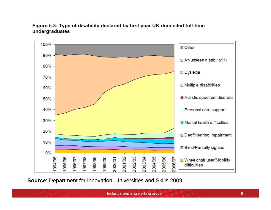#### Figure 5.3: Type of disability declared by first year UK domiciled full-time undergraduates



**Source**: Department for Innovation, Universities and Skills 2009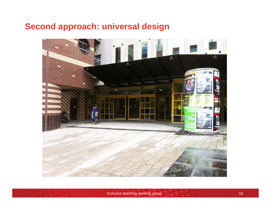## **Second approach: universal design**

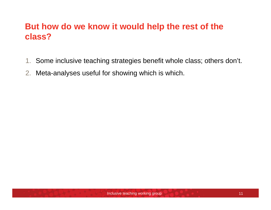# **But how do we know it would help the rest of the class?**

- 1. Some inclusive teaching strategies benefit whole class; others don't.
- 2. Meta-analyses useful for showing which is which.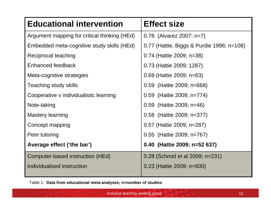| <b>Educational intervention</b>              | <b>Effect size</b>                        |
|----------------------------------------------|-------------------------------------------|
| Argument mapping for critical thinking (HEd) | 0.78 (Alvarez 2007; n=7)                  |
| Embedded meta-cognitive study skills (HEd)   | 0.77 (Hattie, Biggs & Purdie 1996; n=108) |
| Reciprocal teaching                          | $0.74$ (Hattie 2009; n=38)                |
| Enhanced feedback                            | 0.73 (Hattie 2009; 1287)                  |
| Meta-cognitive strategies                    | 0.69 (Hattie 2009; n=63)                  |
| Teaching study skills                        | 0.59 (Hattie 2009; n=668)                 |
| Cooperative v individualistic learning       | $0.59$ (Hattie 2009; n=774)               |
| Note-taking                                  | 0.59 (Hattie 2009; n=46)                  |
| <b>Mastery learning</b>                      | 0.58 (Hattie 2009; n=377)                 |
| Concept mapping                              | 0.57 (Hattie 2009; n=287)                 |
| Peer tutoring                                | 0.55 (Hattie 2009; n=767)                 |
| Average effect ('the bar')                   | 0.40 (Hattie 2009; n=52 637)              |
| Computer-based instruction (HEd)             | 0.28 (Schmid et al 2009; n=231)           |
| Individualised instruction                   | 0.23 (Hattie 2009; n=600)                 |

Table 1: **Data from educational meta-analyses; n=number of studies**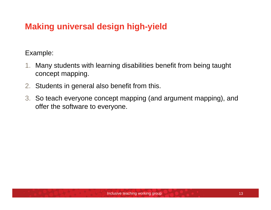# **Making universal design high-yield**

Example:

- 1. Many students with learning disabilities benefit from being taught concept mapping.
- 2. Students in general also benefit from this.
- 3. So teach everyone concept mapping (and argument mapping), and offer the software to everyone.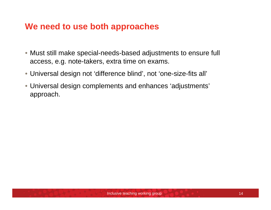#### **We need to use both approaches**

- Must still make special-needs-based adjustments to ensure full access, e.g. note-takers, extra time on exams.
- Universal design not 'difference blind', not 'one-size-fits all'
- Universal design complements and enhances 'adjustments' approach.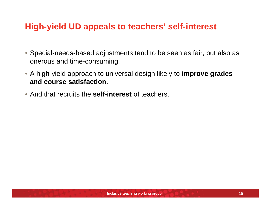# **High-yield UD appeals to teachers' self-interest**

- Special-needs-based adjustments tend to be seen as fair, but also as onerous and time-consuming.
- A high-yield approach to universal design likely to **improve grades and course satisfaction**.
- And that recruits the **self-interest** of teachers.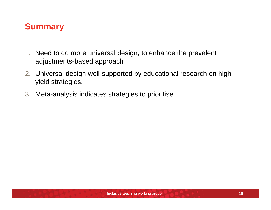### **Summary**

- 1. Need to do more universal design, to enhance the prevalent adjustments-based approach
- 2. Universal design well-supported by educational research on highyield strategies.
- 3. Meta-analysis indicates strategies to prioritise.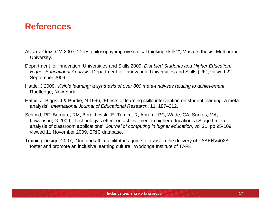#### **References**

- Alvarez Ortiz, CM 2007, 'Does philosophy improve critical thinking skills?', Masters thesis, Melbourne University.
- Department for Innovation, Universities and Skills 2009, *Disabled Students and Higher Education: Higher Educational Analysis,* Department for Innovation, Universities and Skills (UK), viewed 22 September 2009.
- Hattie, J 2009, *Visible learning: a synthesis of over 800 meta-analyses relating to achievement*, Routledge, New York.
- Hattie, J, Biggs, J & Purdie, N 1996, 'Effects of learning skills intervention on student learning: a metaanalysis', *International Journal of Educational Research*, 11, 187–212.
- Schmid, RF, Bernard, RM, Borokhovski, E, Tamim, R, Abrami, PC, Wade, CA, Surkes, MA, Lowerison, G 2009, 'Technology's effect on achievement in higher education: a Stage I metaanalysis of classroom applications', *Journal of computing in higher education*, vol 21, pp 95-109, viewed 11 November 2009, ERIC database.
- Training Design, 2007, 'One and all: a facilitator's guide to assist in the delivery of TAAENV402A foster and promote an inclusive learning culture', Wodonga Institute of TAFE.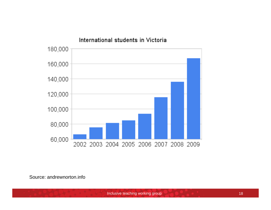#### International students in Victoria

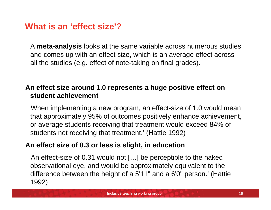#### **What is an 'effect size'?**

A **meta-analysis** looks at the same variable across numerous studies and comes up with an effect size, which is an average effect across all the studies (e.g. effect of note-taking on final grades).

#### **An effect size around 1.0 represents a huge positive effect on student achievement**

'When implementing a new program, an effect-size of 1.0 would mean that approximately 95% of outcomes positively enhance achievement, or average students receiving that treatment would exceed 84% of students not receiving that treatment.' (Hattie 1992)

#### **An effect size of 0.3 or less is slight, in education**

'An effect-size of 0.31 would not […] be perceptible to the naked observational eye, and would be approximately equivalent to the difference between the height of a 5'11" and a 6'0" person.' (Hattie 1992)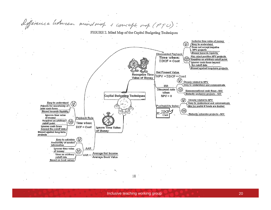Différence between mindning & concept map (PT.O):

FIGURE 2. Mind Map of the Capital Budgeting Techniques



10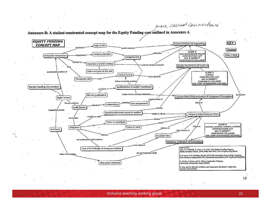wore causal connections

Annexure B: A student constructed concept map for the Equity Funding case outlined in Annexure A



19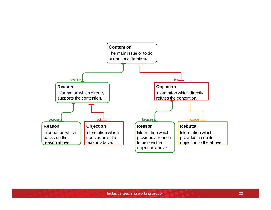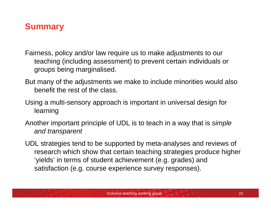### **Summary**

Fairness, policy and/or law require us to make adjustments to our teaching (including assessment) to prevent certain individuals or groups being marginalised.

- But many of the adjustments we make to include minorities would also benefit the rest of the class.
- Using a multi-sensory approach is important in universal design for learning
- Another important principle of UDL is to teach in a way that is *simple and transparent*
- UDL strategies tend to be supported by meta-analyses and reviews of research which show that certain teaching strategies produce higher 'yields' in terms of student achievement (e.g. grades) and satisfaction (e.g. course experience survey responses).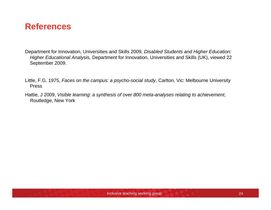#### **References**

Department for Innovation, Universities and Skills 2009, *Disabled Students and Higher Education: Higher Educational Analysis,* Department for Innovation, Universities and Skills (UK), viewed 22 September 2009.

- Little, F.G. 1975, *Faces on the campus: a psycho-social study*, Carlton, Vic: Melbourne University Press
- Hattie, J 2009, *Visible learning: a synthesis of over 800 meta-analyses relating to achievement*, Routledge, New York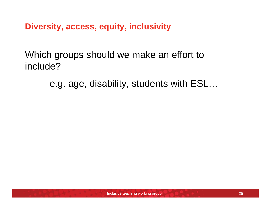**Diversity, access, equity, inclusivity**

Which groups should we make an effort to include?

e.g. age, disability, students with ESL…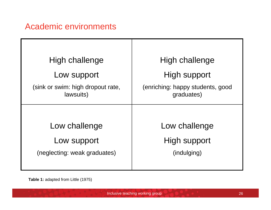| High challenge                                 | High challenge                                 |
|------------------------------------------------|------------------------------------------------|
| Low support                                    | High support                                   |
| (sink or swim: high dropout rate,<br>lawsuits) | (enriching: happy students, good<br>graduates) |
|                                                |                                                |
| Low challenge                                  | Low challenge                                  |
| Low support                                    | High support                                   |
| (neglecting: weak graduates)                   | (indulging)                                    |
|                                                |                                                |

**Table 1:** adapted from Little (1975)